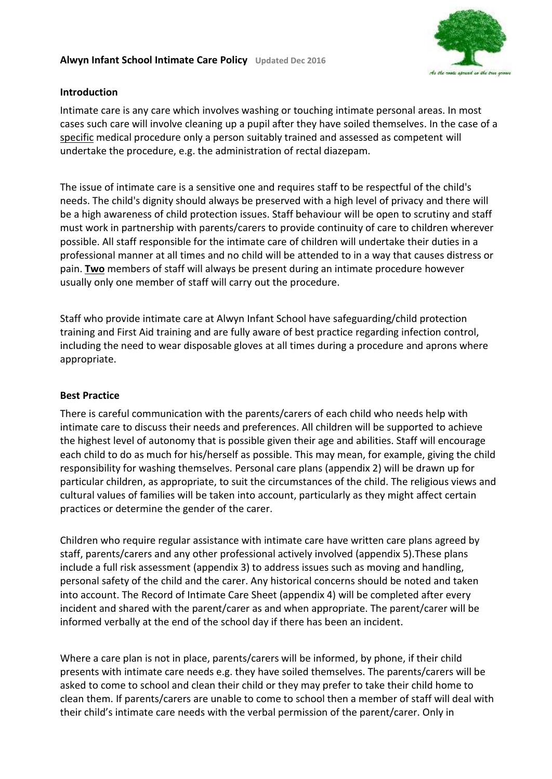## **Alwyn Infant School Intimate Care Policy Updated Dec 2016**



### **Introduction**

Intimate care is any care which involves washing or touching intimate personal areas. In most cases such care will involve cleaning up a pupil after they have soiled themselves. In the case of a specific medical procedure only a person suitably trained and assessed as competent will undertake the procedure, e.g. the administration of rectal diazepam.

The issue of intimate care is a sensitive one and requires staff to be respectful of the child's needs. The child's dignity should always be preserved with a high level of privacy and there will be a high awareness of child protection issues. Staff behaviour will be open to scrutiny and staff must work in partnership with parents/carers to provide continuity of care to children wherever possible. All staff responsible for the intimate care of children will undertake their duties in a professional manner at all times and no child will be attended to in a way that causes distress or pain. **Two** members of staff will always be present during an intimate procedure however usually only one member of staff will carry out the procedure.

Staff who provide intimate care at Alwyn Infant School have safeguarding/child protection training and First Aid training and are fully aware of best practice regarding infection control, including the need to wear disposable gloves at all times during a procedure and aprons where appropriate.

## **Best Practice**

There is careful communication with the parents/carers of each child who needs help with intimate care to discuss their needs and preferences. All children will be supported to achieve the highest level of autonomy that is possible given their age and abilities. Staff will encourage each child to do as much for his/herself as possible. This may mean, for example, giving the child responsibility for washing themselves. Personal care plans (appendix 2) will be drawn up for particular children, as appropriate, to suit the circumstances of the child. The religious views and cultural values of families will be taken into account, particularly as they might affect certain practices or determine the gender of the carer.

Children who require regular assistance with intimate care have written care plans agreed by staff, parents/carers and any other professional actively involved (appendix 5).These plans include a full risk assessment (appendix 3) to address issues such as moving and handling, personal safety of the child and the carer. Any historical concerns should be noted and taken into account. The Record of Intimate Care Sheet (appendix 4) will be completed after every incident and shared with the parent/carer as and when appropriate. The parent/carer will be informed verbally at the end of the school day if there has been an incident.

Where a care plan is not in place, parents/carers will be informed, by phone, if their child presents with intimate care needs e.g. they have soiled themselves. The parents/carers will be asked to come to school and clean their child or they may prefer to take their child home to clean them. If parents/carers are unable to come to school then a member of staff will deal with their child's intimate care needs with the verbal permission of the parent/carer. Only in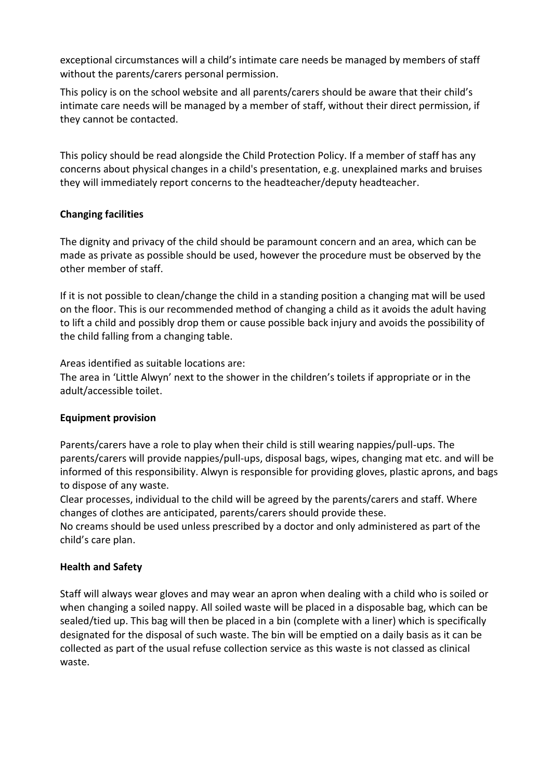exceptional circumstances will a child's intimate care needs be managed by members of staff without the parents/carers personal permission.

This policy is on the school website and all parents/carers should be aware that their child's intimate care needs will be managed by a member of staff, without their direct permission, if they cannot be contacted.

This policy should be read alongside the Child Protection Policy. If a member of staff has any concerns about physical changes in a child's presentation, e.g. unexplained marks and bruises they will immediately report concerns to the headteacher/deputy headteacher.

## **Changing facilities**

The dignity and privacy of the child should be paramount concern and an area, which can be made as private as possible should be used, however the procedure must be observed by the other member of staff.

If it is not possible to clean/change the child in a standing position a changing mat will be used on the floor. This is our recommended method of changing a child as it avoids the adult having to lift a child and possibly drop them or cause possible back injury and avoids the possibility of the child falling from a changing table.

Areas identified as suitable locations are:

The area in 'Little Alwyn' next to the shower in the children's toilets if appropriate or in the adult/accessible toilet.

## **Equipment provision**

Parents/carers have a role to play when their child is still wearing nappies/pull-ups. The parents/carers will provide nappies/pull-ups, disposal bags, wipes, changing mat etc. and will be informed of this responsibility. Alwyn is responsible for providing gloves, plastic aprons, and bags to dispose of any waste.

Clear processes, individual to the child will be agreed by the parents/carers and staff. Where changes of clothes are anticipated, parents/carers should provide these.

No creams should be used unless prescribed by a doctor and only administered as part of the child's care plan.

## **Health and Safety**

Staff will always wear gloves and may wear an apron when dealing with a child who is soiled or when changing a soiled nappy. All soiled waste will be placed in a disposable bag, which can be sealed/tied up. This bag will then be placed in a bin (complete with a liner) which is specifically designated for the disposal of such waste. The bin will be emptied on a daily basis as it can be collected as part of the usual refuse collection service as this waste is not classed as clinical waste.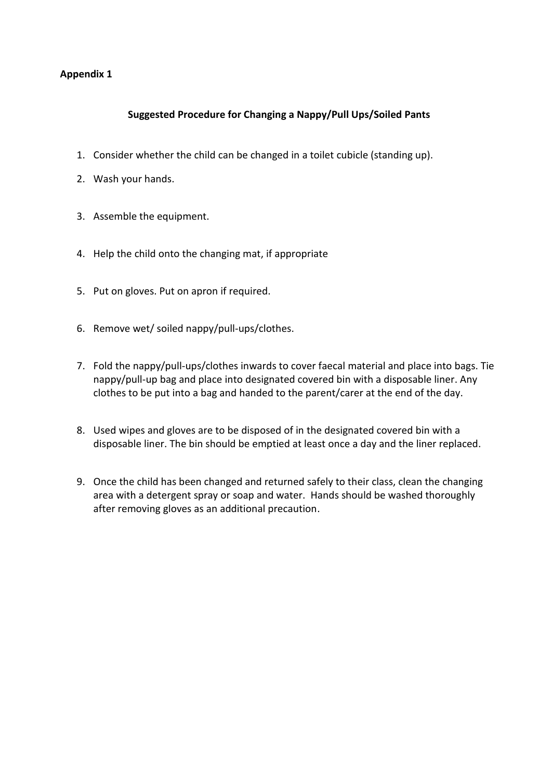## **Suggested Procedure for Changing a Nappy/Pull Ups/Soiled Pants**

- 1. Consider whether the child can be changed in a toilet cubicle (standing up).
- 2. Wash your hands.
- 3. Assemble the equipment.
- 4. Help the child onto the changing mat, if appropriate
- 5. Put on gloves. Put on apron if required.
- 6. Remove wet/ soiled nappy/pull-ups/clothes.
- 7. Fold the nappy/pull-ups/clothes inwards to cover faecal material and place into bags. Tie nappy/pull-up bag and place into designated covered bin with a disposable liner. Any clothes to be put into a bag and handed to the parent/carer at the end of the day.
- 8. Used wipes and gloves are to be disposed of in the designated covered bin with a disposable liner. The bin should be emptied at least once a day and the liner replaced.
- 9. Once the child has been changed and returned safely to their class, clean the changing area with a detergent spray or soap and water. Hands should be washed thoroughly after removing gloves as an additional precaution.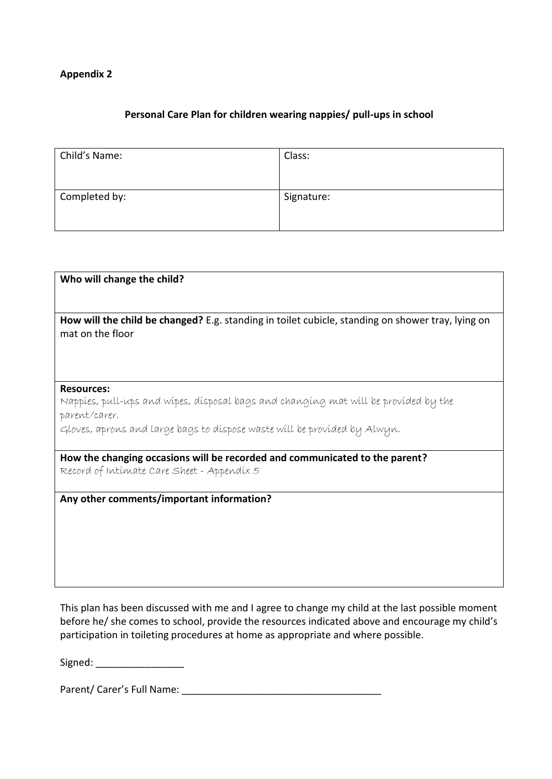## **Personal Care Plan for children wearing nappies/ pull-ups in school**

| Child's Name: | Class:     |
|---------------|------------|
| Completed by: | Signature: |

| Who will change the child?                                                                                                |
|---------------------------------------------------------------------------------------------------------------------------|
| How will the child be changed? E.g. standing in toilet cubicle, standing on shower tray, lying on<br>mat on the floor     |
| <b>Resources:</b><br>Nappies, pull-ups and wipes, disposal bags and changing mat will be provided by the                  |
| parent/carer.                                                                                                             |
| Gloves, aprons and large bags to dispose waste will be provided by Alwyn.                                                 |
| How the changing occasions will be recorded and communicated to the parent?<br>Record of Intimate Care Sheet - Appendix 5 |
| Any other comments/important information?                                                                                 |
|                                                                                                                           |
|                                                                                                                           |
|                                                                                                                           |
|                                                                                                                           |

This plan has been discussed with me and I agree to change my child at the last possible moment before he/ she comes to school, provide the resources indicated above and encourage my child's participation in toileting procedures at home as appropriate and where possible.

Signed:  $\Box$ 

Parent/ Carer's Full Name: \_\_\_\_\_\_\_\_\_\_\_\_\_\_\_\_\_\_\_\_\_\_\_\_\_\_\_\_\_\_\_\_\_\_\_\_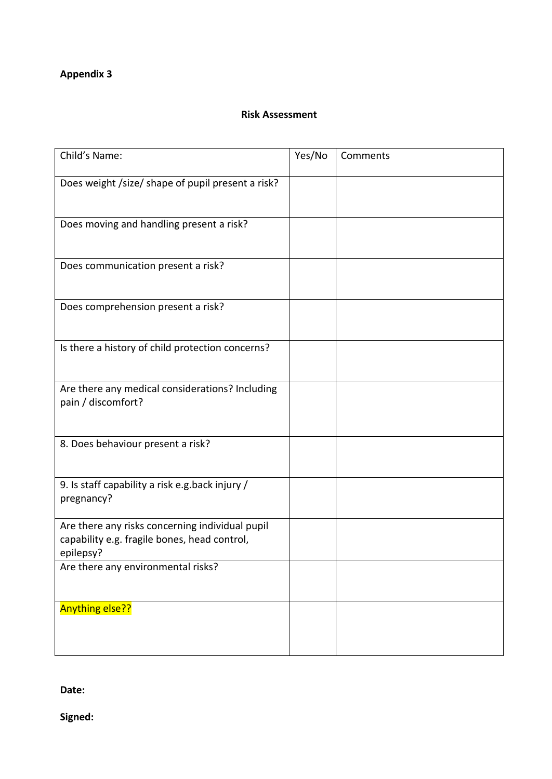#### **Risk Assessment**

| Child's Name:                                                                                                | Yes/No | Comments |
|--------------------------------------------------------------------------------------------------------------|--------|----------|
| Does weight /size/ shape of pupil present a risk?                                                            |        |          |
| Does moving and handling present a risk?                                                                     |        |          |
| Does communication present a risk?                                                                           |        |          |
| Does comprehension present a risk?                                                                           |        |          |
| Is there a history of child protection concerns?                                                             |        |          |
| Are there any medical considerations? Including<br>pain / discomfort?                                        |        |          |
| 8. Does behaviour present a risk?                                                                            |        |          |
| 9. Is staff capability a risk e.g.back injury /<br>pregnancy?                                                |        |          |
| Are there any risks concerning individual pupil<br>capability e.g. fragile bones, head control,<br>epilepsy? |        |          |
| Are there any environmental risks?                                                                           |        |          |
| <b>Anything else??</b>                                                                                       |        |          |

**Date:** 

**Signed:**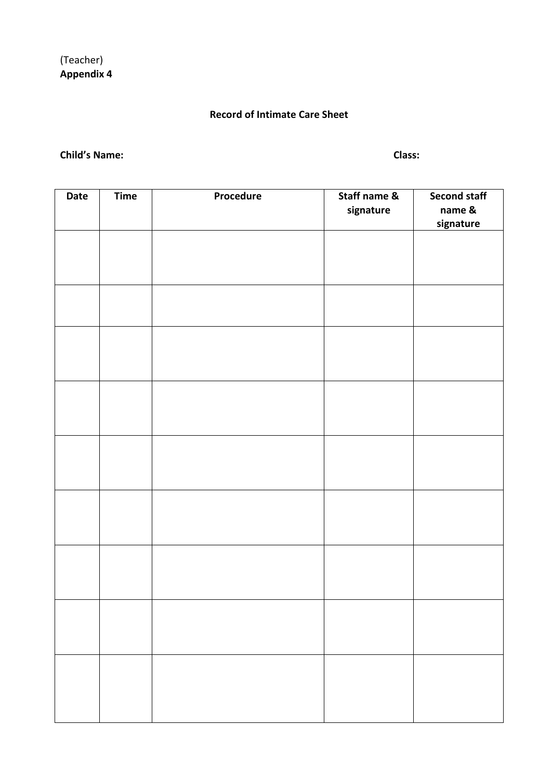# **Record of Intimate Care Sheet**

#### **Child's Name: Class:**

| Date | <b>Time</b> | Procedure | Staff name &<br>signature | <b>Second staff</b><br>name &<br>signature |
|------|-------------|-----------|---------------------------|--------------------------------------------|
|      |             |           |                           |                                            |
|      |             |           |                           |                                            |
|      |             |           |                           |                                            |
|      |             |           |                           |                                            |
|      |             |           |                           |                                            |
|      |             |           |                           |                                            |
|      |             |           |                           |                                            |
|      |             |           |                           |                                            |
|      |             |           |                           |                                            |
|      |             |           |                           |                                            |
|      |             |           |                           |                                            |
|      |             |           |                           |                                            |
|      |             |           |                           |                                            |
|      |             |           |                           |                                            |
|      |             |           |                           |                                            |
|      |             |           |                           |                                            |